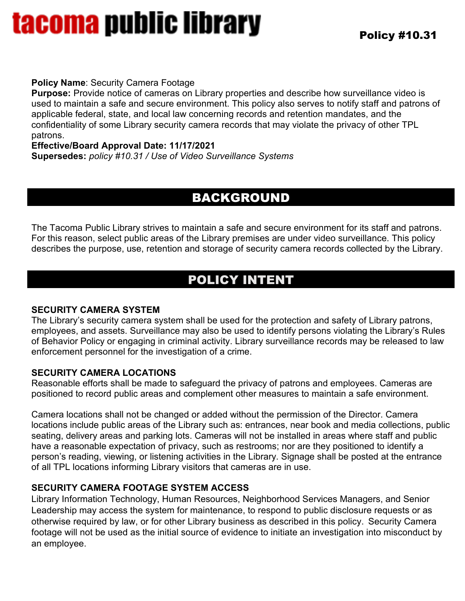# tacoma public library

#### **Policy Name**: Security Camera Footage

**Purpose:** Provide notice of cameras on Library properties and describe how surveillance video is used to maintain a safe and secure environment. This policy also serves to notify staff and patrons of applicable federal, state, and local law concerning records and retention mandates, and the confidentiality of some Library security camera records that may violate the privacy of other TPL patrons.

**Effective/Board Approval Date: 11/17/2021**

**Supersedes:** *policy #10.31 / Use of Video Surveillance Systems* 

### BACKGROUND

The Tacoma Public Library strives to maintain a safe and secure environment for its staff and patrons. For this reason, select public areas of the Library premises are under video surveillance. This policy describes the purpose, use, retention and storage of security camera records collected by the Library.

## POLICY INTENT

### **SECURITY CAMERA SYSTEM**

The Library's security camera system shall be used for the protection and safety of Library patrons, employees, and assets. Surveillance may also be used to identify persons violating the Library's Rules of Behavior Policy or engaging in criminal activity. Library surveillance records may be released to law enforcement personnel for the investigation of a crime.

### **SECURITY CAMERA LOCATIONS**

Reasonable efforts shall be made to safeguard the privacy of patrons and employees. Cameras are positioned to record public areas and complement other measures to maintain a safe environment.

Camera locations shall not be changed or added without the permission of the Director. Camera locations include public areas of the Library such as: entrances, near book and media collections, public seating, delivery areas and parking lots. Cameras will not be installed in areas where staff and public have a reasonable expectation of privacy, such as restrooms; nor are they positioned to identify a person's reading, viewing, or listening activities in the Library. Signage shall be posted at the entrance of all TPL locations informing Library visitors that cameras are in use.

### **SECURITY CAMERA FOOTAGE SYSTEM ACCESS**

Library Information Technology, Human Resources, Neighborhood Services Managers, and Senior Leadership may access the system for maintenance, to respond to public disclosure requests or as otherwise required by law, or for other Library business as described in this policy. Security Camera footage will not be used as the initial source of evidence to initiate an investigation into misconduct by an employee.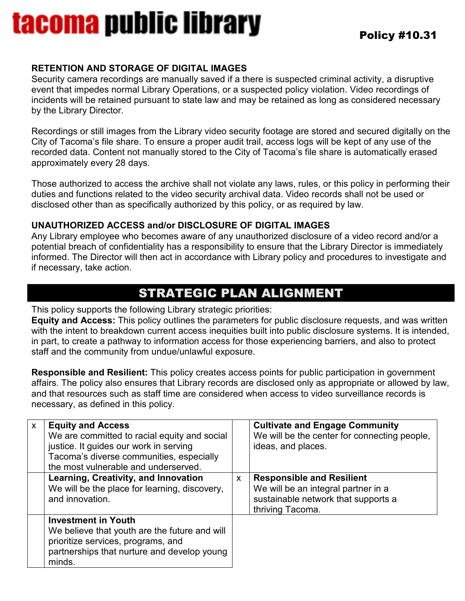## tacoma public library

#### **RETENTION AND STORAGE OF DIGITAL IMAGES**

Security camera recordings are manually saved if a there is suspected criminal activity, a disruptive event that impedes normal Library Operations, or a suspected policy violation. Video recordings of incidents will be retained pursuant to state law and may be retained as long as considered necessary by the Library Director.

Recordings or still images from the Library video security footage are stored and secured digitally on the City of Tacoma's file share. To ensure a proper audit trail, access logs will be kept of any use of the recorded data. Content not manually stored to the City of Tacoma's file share is automatically erased approximately every 28 days.

Those authorized to access the archive shall not violate any laws, rules, or this policy in performing their duties and functions related to the video security archival data. Video records shall not be used or disclosed other than as specifically authorized by this policy, or as required by law.

#### **UNAUTHORIZED ACCESS and/or DISCLOSURE OF DIGITAL IMAGES**

Any Library employee who becomes aware of any unauthorized disclosure of a video record and/or a potential breach of confidentiality has a responsibility to ensure that the Library Director is immediately informed. The Director will then act in accordance with Library policy and procedures to investigate and if necessary, take action.

### STRATEGIC PLAN ALIGNMENT

This policy supports the following Library strategic priorities:

**Equity and Access:** This policy outlines the parameters for public disclosure requests, and was written with the intent to breakdown current access inequities built into public disclosure systems. It is intended, in part, to create a pathway to information access for those experiencing barriers, and also to protect staff and the community from undue/unlawful exposure.

**Responsible and Resilient:** This policy creates access points for public participation in government affairs. The policy also ensures that Library records are disclosed only as appropriate or allowed by law, and that resources such as staff time are considered when access to video surveillance records is necessary, as defined in this policy.

| $\mathsf{x}$ | <b>Equity and Access</b><br>We are committed to racial equity and social<br>justice. It guides our work in serving<br>Tacoma's diverse communities, especially<br>the most vulnerable and underserved. |   | <b>Cultivate and Engage Community</b><br>We will be the center for connecting people,<br>ideas, and places.                        |
|--------------|--------------------------------------------------------------------------------------------------------------------------------------------------------------------------------------------------------|---|------------------------------------------------------------------------------------------------------------------------------------|
|              | <b>Learning, Creativity, and Innovation</b><br>We will be the place for learning, discovery,<br>and innovation.                                                                                        | X | <b>Responsible and Resilient</b><br>We will be an integral partner in a<br>sustainable network that supports a<br>thriving Tacoma. |
|              | <b>Investment in Youth</b><br>We believe that youth are the future and will<br>prioritize services, programs, and<br>partnerships that nurture and develop young<br>minds.                             |   |                                                                                                                                    |